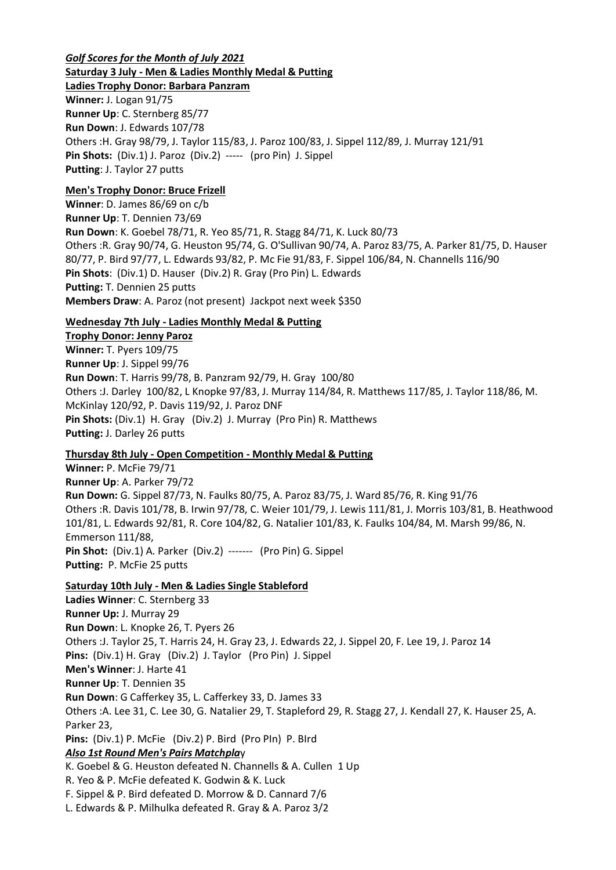## *Golf Scores for the Month of July 2021* **Saturday 3 July - Men & Ladies Monthly Medal & Putting**

**Ladies Trophy Donor: Barbara Panzram Winner:** J. Logan 91/75 **Runner Up**: C. Sternberg 85/77 **Run Down**: J. Edwards 107/78 Others :H. Gray 98/79, J. Taylor 115/83, J. Paroz 100/83, J. Sippel 112/89, J. Murray 121/91 **Pin Shots:** (Div.1) J. Paroz (Div.2) ----- (pro Pin) J. Sippel **Putting**: J. Taylor 27 putts

# **Men's Trophy Donor: Bruce Frizell**

**Winner**: D. James 86/69 on c/b **Runner Up**: T. Dennien 73/69 **Run Down**: K. Goebel 78/71, R. Yeo 85/71, R. Stagg 84/71, K. Luck 80/73 Others :R. Gray 90/74, G. Heuston 95/74, G. O'Sullivan 90/74, A. Paroz 83/75, A. Parker 81/75, D. Hauser 80/77, P. Bird 97/77, L. Edwards 93/82, P. Mc Fie 91/83, F. Sippel 106/84, N. Channells 116/90 **Pin Shots**: (Div.1) D. Hauser (Div.2) R. Gray (Pro Pin) L. Edwards **Putting:** T. Dennien 25 putts **Members Draw**: A. Paroz (not present) Jackpot next week \$350

# **Wednesday 7th July - Ladies Monthly Medal & Putting**

**Trophy Donor: Jenny Paroz Winner:** T. Pyers 109/75 **Runner Up**: J. Sippel 99/76 **Run Down**: T. Harris 99/78, B. Panzram 92/79, H. Gray 100/80 Others :J. Darley 100/82, L Knopke 97/83, J. Murray 114/84, R. Matthews 117/85, J. Taylor 118/86, M. McKinlay 120/92, P. Davis 119/92, J. Paroz DNF **Pin Shots:** (Div.1) H. Gray (Div.2) J. Murray (Pro Pin) R. Matthews **Putting:** J. Darley 26 putts

# **Thursday 8th July - Open Competition - Monthly Medal & Putting**

**Winner:** P. McFie 79/71 **Runner Up**: A. Parker 79/72 **Run Down:** G. Sippel 87/73, N. Faulks 80/75, A. Paroz 83/75, J. Ward 85/76, R. King 91/76 Others :R. Davis 101/78, B. Irwin 97/78, C. Weier 101/79, J. Lewis 111/81, J. Morris 103/81, B. Heathwood 101/81, L. Edwards 92/81, R. Core 104/82, G. Natalier 101/83, K. Faulks 104/84, M. Marsh 99/86, N. Emmerson 111/88, **Pin Shot:** (Div.1) A. Parker (Div.2) ------- (Pro Pin) G. Sippel **Putting:** P. McFie 25 putts

# **Saturday 10th July - Men & Ladies Single Stableford**

**Ladies Winner**: C. Sternberg 33 **Runner Up:** J. Murray 29 **Run Down**: L. Knopke 26, T. Pyers 26 Others :J. Taylor 25, T. Harris 24, H. Gray 23, J. Edwards 22, J. Sippel 20, F. Lee 19, J. Paroz 14 **Pins:** (Div.1) H. Gray (Div.2) J. Taylor (Pro Pin) J. Sippel **Men's Winner**: J. Harte 41 **Runner Up**: T. Dennien 35 **Run Down**: G Cafferkey 35, L. Cafferkey 33, D. James 33 Others :A. Lee 31, C. Lee 30, G. Natalier 29, T. Stapleford 29, R. Stagg 27, J. Kendall 27, K. Hauser 25, A. Parker 23, **Pins:** (Div.1) P. McFie (Div.2) P. Bird (Pro PIn) P. BIrd *Also 1st Round Men's Pairs Matchpla*y K. Goebel & G. Heuston defeated N. Channells & A. Cullen 1 Up R. Yeo & P. McFie defeated K. Godwin & K. Luck F. Sippel & P. Bird defeated D. Morrow & D. Cannard 7/6

L. Edwards & P. Milhulka defeated R. Gray & A. Paroz 3/2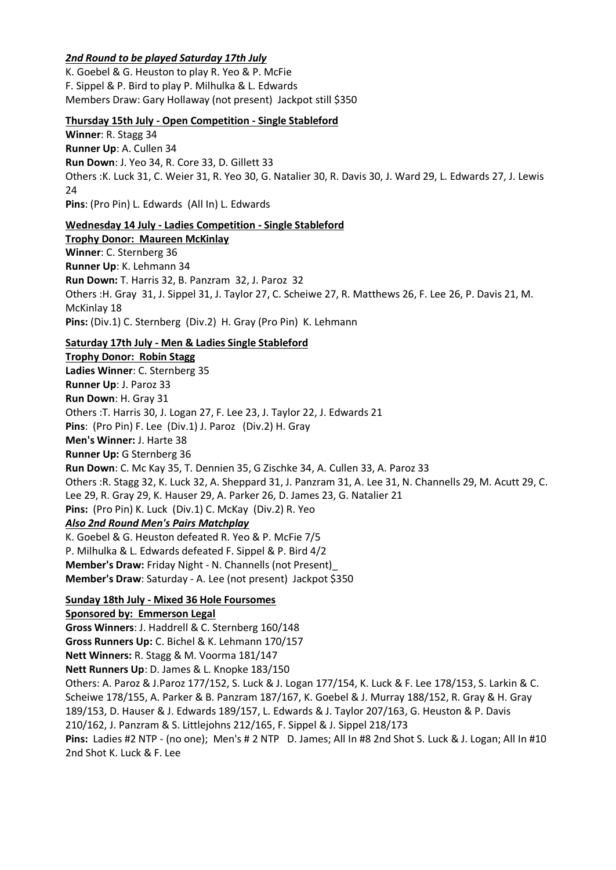## *2nd Round to be played Saturday 17th July*

K. Goebel & G. Heuston to play R. Yeo & P. McFie F. Sippel & P. Bird to play P. Milhulka & L. Edwards Members Draw: Gary Hollaway (not present) Jackpot still \$350

## **Thursday 15th July - Open Competition - Single Stableford**

**Winner**: R. Stagg 34 **Runner Up**: A. Cullen 34 **Run Down**: J. Yeo 34, R. Core 33, D. Gillett 33 Others :K. Luck 31, C. Weier 31, R. Yeo 30, G. Natalier 30, R. Davis 30, J. Ward 29, L. Edwards 27, J. Lewis  $24$ **Pins**: (Pro Pin) L. Edwards (All In) L. Edwards

**Wednesday 14 July - Ladies Competition - Single Stableford Trophy Donor: Maureen McKinlay Winner**: C. Sternberg 36 **Runner Up**: K. Lehmann 34 **Run Down:** T. Harris 32, B. Panzram 32, J. Paroz 32 Others :H. Gray 31, J. Sippel 31, J. Taylor 27, C. Scheiwe 27, R. Matthews 26, F. Lee 26, P. Davis 21, M. McKinlay 18 **Pins:** (Div.1) C. Sternberg (Div.2) H. Gray (Pro Pin) K. Lehmann

**Saturday 17th July - Men & Ladies Single Stableford**

**Trophy Donor: Robin Stagg Ladies Winner**: C. Sternberg 35 **Runner Up**: J. Paroz 33 **Run Down**: H. Gray 31 Others :T. Harris 30, J. Logan 27, F. Lee 23, J. Taylor 22, J. Edwards 21 **Pins**: (Pro Pin) F. Lee (Div.1) J. Paroz (Div.2) H. Gray **Men's Winner:** J. Harte 38 **Runner Up:** G Sternberg 36 **Run Down**: C. Mc Kay 35, T. Dennien 35, G Zischke 34, A. Cullen 33, A. Paroz 33 Others :R. Stagg 32, K. Luck 32, A. Sheppard 31, J. Panzram 31, A. Lee 31, N. Channells 29, M. Acutt 29, C. Lee 29, R. Gray 29, K. Hauser 29, A. Parker 26, D. James 23, G. Natalier 21 **Pins:** (Pro Pin) K. Luck (Div.1) C. McKay (Div.2) R. Yeo *Also 2nd Round Men's Pairs Matchplay* K. Goebel & G. Heuston defeated R. Yeo & P. McFie 7/5 P. Milhulka & L. Edwards defeated F. Sippel & P. Bird 4/2 **Member's Draw:** Friday Night - N. Channells (not Present)\_ **Member's Draw**: Saturday - A. Lee (not present) Jackpot \$350

**Sunday 18th July - Mixed 36 Hole Foursomes**

**Sponsored by: Emmerson Legal**

**Gross Winners**: J. Haddrell & C. Sternberg 160/148 **Gross Runners Up:** C. Bichel & K. Lehmann 170/157

**Nett Winners:** R. Stagg & M. Voorma 181/147

**Nett Runners Up**: D. James & L. Knopke 183/150

Others: A. Paroz & J.Paroz 177/152, S. Luck & J. Logan 177/154, K. Luck & F. Lee 178/153, S. Larkin & C. Scheiwe 178/155, A. Parker & B. Panzram 187/167, K. Goebel & J. Murray 188/152, R. Gray & H. Gray 189/153, D. Hauser & J. Edwards 189/157, L. Edwards & J. Taylor 207/163, G. Heuston & P. Davis 210/162, J. Panzram & S. Littlejohns 212/165, F. Sippel & J. Sippel 218/173 **Pins:** Ladies #2 NTP - (no one); Men's # 2 NTP D. James; All In #8 2nd Shot S. Luck & J. Logan; All In #10

2nd Shot K. Luck & F. Lee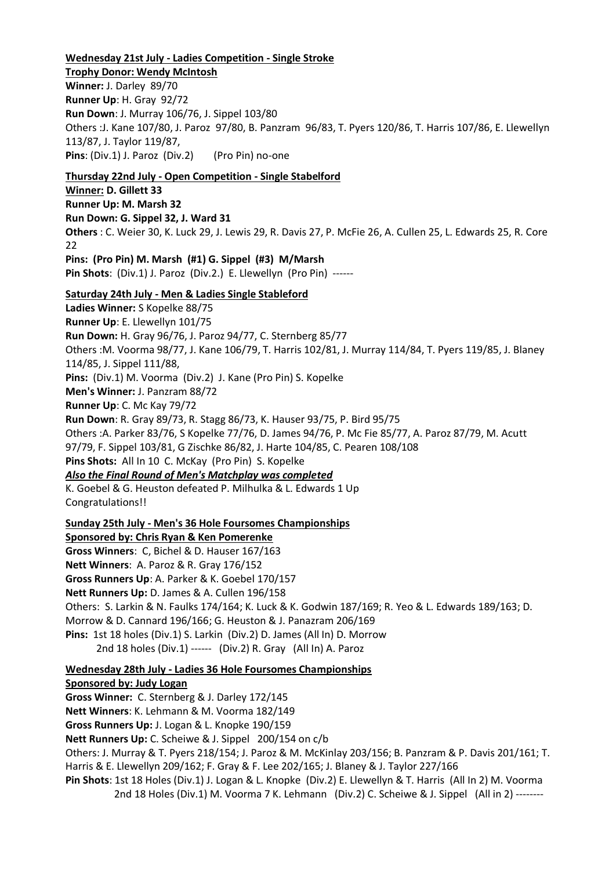#### **Wednesday 21st July - Ladies Competition - Single Stroke**

**Trophy Donor: Wendy McIntosh Winner:** J. Darley 89/70 **Runner Up**: H. Gray 92/72 **Run Down**: J. Murray 106/76, J. Sippel 103/80 Others :J. Kane 107/80, J. Paroz 97/80, B. Panzram 96/83, T. Pyers 120/86, T. Harris 107/86, E. Llewellyn 113/87, J. Taylor 119/87, **Pins**: (Div.1) J. Paroz (Div.2) (Pro Pin) no-one

**Thursday 22nd July - Open Competition - Single Stabelford Winner: D. Gillett 33 Runner Up: M. Marsh 32 Run Down: G. Sippel 32, J. Ward 31 Others** : C. Weier 30, K. Luck 29, J. Lewis 29, R. Davis 27, P. McFie 26, A. Cullen 25, L. Edwards 25, R. Core 22 **Pins: (Pro Pin) M. Marsh (#1) G. Sippel (#3) M/Marsh Pin Shots**: (Div.1) J. Paroz (Div.2.) E. Llewellyn (Pro Pin) ------ **Saturday 24th July - Men & Ladies Single Stableford Ladies Winner:** S Kopelke 88/75 **Runner Up**: E. Llewellyn 101/75 **Run Down:** H. Gray 96/76, J. Paroz 94/77, C. Sternberg 85/77 Others :M. Voorma 98/77, J. Kane 106/79, T. Harris 102/81, J. Murray 114/84, T. Pyers 119/85, J. Blaney 114/85, J. Sippel 111/88, **Pins:** (Div.1) M. Voorma (Div.2) J. Kane (Pro Pin) S. Kopelke **Men's Winner:** J. Panzram 88/72 **Runner Up**: C. Mc Kay 79/72 **Run Down**: R. Gray 89/73, R. Stagg 86/73, K. Hauser 93/75, P. Bird 95/75 Others :A. Parker 83/76, S Kopelke 77/76, D. James 94/76, P. Mc Fie 85/77, A. Paroz 87/79, M. Acutt 97/79, F. Sippel 103/81, G Zischke 86/82, J. Harte 104/85, C. Pearen 108/108 **Pins Shots:** All In 10 C. McKay (Pro Pin) S. Kopelke *Also the Final Round of Men's Matchplay was completed* K. Goebel & G. Heuston defeated P. Milhulka & L. Edwards 1 Up Congratulations!! **Sunday 25th July - Men's 36 Hole Foursomes Championships Sponsored by: Chris Ryan & Ken Pomerenke Gross Winners**: C, Bichel & D. Hauser 167/163 **Nett Winners**: A. Paroz & R. Gray 176/152 **Gross Runners Up**: A. Parker & K. Goebel 170/157 **Nett Runners Up:** D. James & A. Cullen 196/158 Others: S. Larkin & N. Faulks 174/164; K. Luck & K. Godwin 187/169; R. Yeo & L. Edwards 189/163; D.

Morrow & D. Cannard 196/166; G. Heuston & J. Panazram 206/169

**Pins:** 1st 18 holes (Div.1) S. Larkin (Div.2) D. James (All In) D. Morrow

2nd 18 holes (Div.1) ------ (Div.2) R. Gray (All In) A. Paroz

**Wednesday 28th July - Ladies 36 Hole Foursomes Championships**

#### **Sponsored by: Judy Logan**

**Gross Winner:** C. Sternberg & J. Darley 172/145

**Nett Winners**: K. Lehmann & M. Voorma 182/149

**Gross Runners Up:** J. Logan & L. Knopke 190/159

**Nett Runners Up:** C. Scheiwe & J. Sippel 200/154 on c/b

Others: J. Murray & T. Pyers 218/154; J. Paroz & M. McKinlay 203/156; B. Panzram & P. Davis 201/161; T. Harris & E. Llewellyn 209/162; F. Gray & F. Lee 202/165; J. Blaney & J. Taylor 227/166

**Pin Shots**: 1st 18 Holes (Div.1) J. Logan & L. Knopke (Div.2) E. Llewellyn & T. Harris (All In 2) M. Voorma 2nd 18 Holes (Div.1) M. Voorma 7 K. Lehmann (Div.2) C. Scheiwe & J. Sippel (All in 2) --------